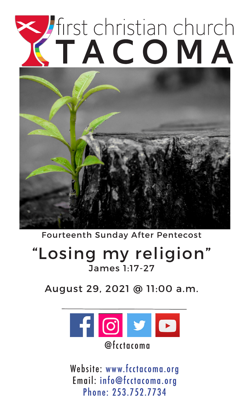# Tirst christian church



Fourteenth Sunday After Pentecost

## "Losing my religion" James 1:17-27

August 29, 2021 @ 11:00 a.m.



Website: www.fcctacoma.org Email: info@fcctacoma.org Phone: 253.752.7734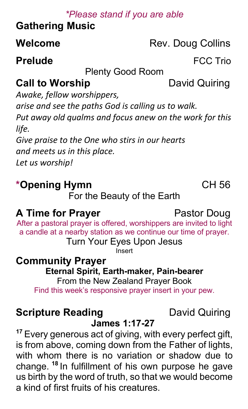#### *\*Please stand if you are able*

## **Gathering Music**

#### **Welcome** Rev. Doug Collins

#### **Prelude FCC Trio**

#### Plenty Good Room

## **Call to Worship**  David Quiring

*Awake, fellow worshippers, arise and see the paths God is calling us to walk. Put away old qualms and focus anew on the work for this life.*

*Give praise to the One who stirs in our hearts and meets us in this place. Let us worship!*

## **\*Opening Hymn** CH 56

For the Beauty of the Earth

### **A Time for Prayer Pastor Doug**

After a pastoral prayer is offered, worshippers are invited to light a candle at a nearby station as we continue our time of prayer.

Turn Your Eyes Upon Jesus

Insert

# **Community Prayer Eternal Spirit, Earth-maker, Pain-bearer**

From the New Zealand Prayer Book Find this week's responsive prayer insert in your pew.

### **Scripture Reading**  David Quiring

#### **James 1:17-27**

**<sup>17</sup>** Every generous act of giving, with every perfect gift, is from above, coming down from the Father of lights, with whom there is no variation or shadow due to change. **<sup>18</sup>** In fulfillment of his own purpose he gave us birth by the word of truth, so that we would become a kind of first fruits of his creatures.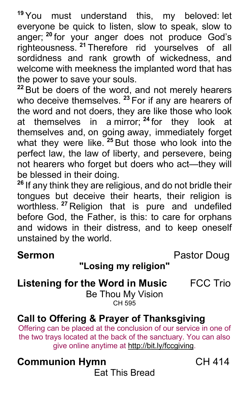**<sup>19</sup>** You must understand this, my beloved: let everyone be quick to listen, slow to speak, slow to anger; **<sup>20</sup>** for your anger does not produce God's righteousness. **<sup>21</sup>** Therefore rid yourselves of all sordidness and rank growth of wickedness, and welcome with meekness the implanted word that has the power to save your souls.

**<sup>22</sup>** But be doers of the word, and not merely hearers who deceive themselves. **<sup>23</sup>** For if any are hearers of the word and not doers, they are like those who look at themselves in a mirror; **<sup>24</sup>** for they look at themselves and, on going away, immediately forget what they were like. **<sup>25</sup>** But those who look into the perfect law, the law of liberty, and persevere, being not hearers who forget but doers who act—they will be blessed in their doing.

**<sup>26</sup>** If any think they are religious, and do not bridle their tongues but deceive their hearts, their religion is worthless. **<sup>27</sup>** Religion that is pure and undefiled before God, the Father, is this: to care for orphans and widows in their distress, and to keep oneself unstained by the world.

**Sermon Pastor Doug** 

#### **"Losing my religion"**

#### **Listening for the Word in Music** FCC Trio

Be Thou My Vision CH 595

#### **Call to Offering & Prayer of Thanksgiving**

Offering can be placed at the conclusion of our service in one of the two trays located at the back of the sanctuary. You can also give online anytime at http://bit.ly/fccgiving.

## **Communion Hymn** CH 414

Eat This Bread